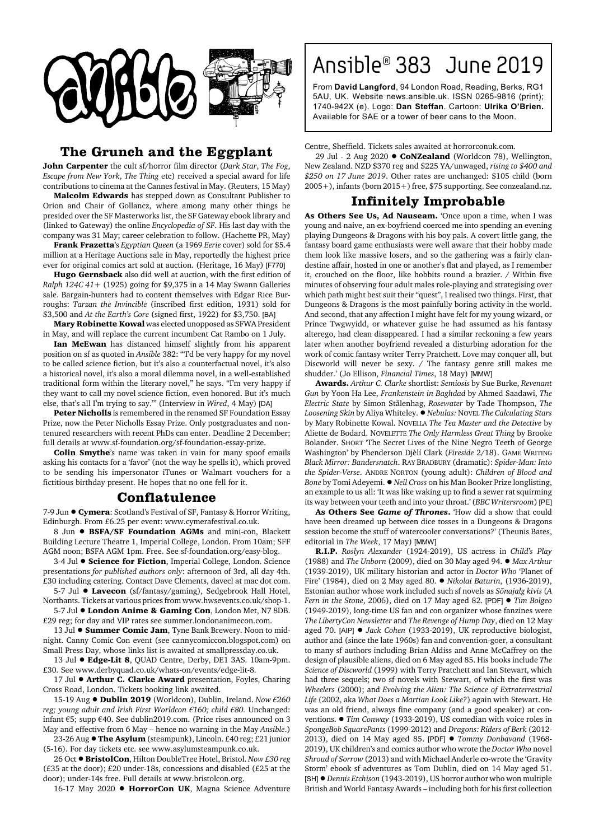

## **The Grunch and the Eggplant**

**John Carpenter** the cult sf/horror film director (*Dark Star*, *The Fog*, *Escape from New York*, *The Thing* etc) received a special award for life contributions to cinema at the Cannes festival in May. (Reuters, 15 May)

**Malcolm Edwards** has stepped down as Consultant Publisher to Orion and Chair of Gollancz, where among many other things he presided over the SF Masterworks list, the SF Gateway ebook library and (linked to Gateway) the online *Encyclopedia of SF*. His last day with the company was 31 May; career celebration to follow. (Hachette PR, May)

**Frank Frazetta**'s *Egyptian Queen* (a 1969 *Eerie* cover) sold for \$5.4 million at a Heritage Auctions sale in May, reportedly the highest price ever for original comics art sold at auction. (Heritage, 16 May) [F770]

**Hugo Gernsback** also did well at auction, with the first edition of *Ralph 124C 41+* (1925) going for \$9,375 in a 14 May Swann Galleries sale. Bargain-hunters had to content themselves with Edgar Rice Burroughs: *Tarzan the Invincible* (inscribed first edition, 1931) sold for \$3,500 and *At the Earth's Core* (signed first, 1922) for \$3,750. [BA]

**Mary Robinette Kowal** was elected unopposed as SFWA President in May, and will replace the current incumbent Cat Rambo on 1 July.

**Ian McEwan** has distanced himself slightly from his apparent position on sf as quoted in *Ansible* 382: '"I'd be very happy for my novel to be called science fiction, but it's also a counterfactual novel, it's also a historical novel, it's also a moral dilemma novel, in a well-established traditional form within the literary novel," he says. "I'm very happy if they want to call my novel science fiction, even honored. But it's much else, that's all I'm trying to say."' (Interview in *Wired*, 4 May) [DA]

**Peter Nicholls** is remembered in the renamed SF Foundation Essay Prize, now the Peter Nicholls Essay Prize. Only postgraduates and nontenured researchers with recent PhDs can enter. Deadline 2 December; full details at www.sf-foundation.org/sf-foundation-essay-prize.

**Colin Smythe**'s name was taken in vain for many spoof emails asking his contacts for a 'favor' (not the way he spells it), which proved to be sending his impersonator iTunes or Walmart vouchers for a fictitious birthday present. He hopes that no one fell for it.

## **Conflatulence**

7-9 Jun ! **Cymera**: Scotland's Festival of SF, Fantasy & Horror Writing, Edinburgh. From £6.25 per event: www.cymerafestival.co.uk.

8 Jun  $\bullet$  **BSFA/SF Foundation AGMs** and mini-con, Blackett Building Lecture Theatre 1, Imperial College, London. From 10am; SFF AGM noon; BSFA AGM 1pm. Free. See sf-foundation.org/easy-blog.

3-4 Jul  $\bullet$  Science for Fiction, Imperial College, London. Science presentations *for published authors only*: afternoon of 3rd, all day 4th. £30 including catering. Contact Dave Clements, davecl at mac dot com.

5-7 Jul  $\bullet$  Lavecon (sf/fantasy/gaming), Sedgebrook Hall Hotel, Northants. Tickets at various prices from www.hwsevents.co.uk/shop-1.

5-7 Jul  $\bullet$  **London Anime & Gaming Con**, London Met, N7 8DB. £29 reg; for day and VIP rates see summer.londonanimecon.com.

13 Jul  $\bullet$  **Summer Comic Jam**, Tyne Bank Brewery. Noon to midnight. Canny Comic Con event (see cannycomiccon.blogspot.com) on Small Press Day, whose links list is awaited at smallpressday.co.uk.

13 Jul  $\bullet$  **Edge-Lit 8**, QUAD Centre, Derby, DE1 3AS. 10am-9pm. £30. See www.derbyquad.co.uk/whats-on/events/edge-lit-8.

17 Jul  $\bullet$  Arthur C. Clarke Award presentation, Foyles, Charing Cross Road, London. Tickets booking link awaited.

15-19 Aug ! **Dublin 2019** (Worldcon), Dublin, Ireland. *Now €260 reg; young adult and Irish First Worldcon €160; child €80.* Unchanged: infant €5; supp €40. See dublin2019.com. (Price rises announced on 3 May and effective from 6 May – hence no warning in the May *Ansible*.)

23-26 Aug ● **The Asylum** (steampunk), Lincoln. £40 reg; £21 junior (5-16). For day tickets etc. see www.asylumsteampunk.co.uk.

26 Oct ! **BristolCon**, Hilton DoubleTree Hotel, Bristol. *Now £30 reg* (£35 at the door); £20 under-18s, concessions and disabled (£25 at the door); under-14s free. Full details at www.bristolcon.org.

16-17 May 2020 ● HorrorCon UK, Magna Science Adventure

# Ansible® 383 June 2019

From **David Langford**, 94 London Road, Reading, Berks, RG1 5AU, UK. Website news.ansible.uk. ISSN 0265-9816 (print); 1740-942X (e). Logo: **Dan Steffan**. Cartoon: **Ulrika O'Brien.** Available for SAE or a tower of beer cans to the Moon.

Centre, Sheffield. Tickets sales awaited at horrorconuk.com.

29 Jul - 2 Aug 2020 ! **CoNZealand** (Worldcon 78), Wellington, New Zealand. NZD \$370 reg and \$225 YA/unwaged, *rising to \$400 and \$250 on 17 June 2019*. Other rates are unchanged: \$105 child (born 2005+), infants (born 2015+) free, \$75 supporting. See conzealand.nz.

# **Infinitely Improbable**

**As Others See Us, Ad Nauseam.** 'Once upon a time, when I was young and naive, an ex-boyfriend coerced me into spending an evening playing Dungeons & Dragons with his boy pals. A covert little gang, the fantasy board game enthusiasts were well aware that their hobby made them look like massive losers, and so the gathering was a fairly clandestine affair, hosted in one or another's flat and played, as I remember it, crouched on the floor, like hobbits round a brazier. / Within five minutes of observing four adult males role-playing and strategising over which path might best suit their "quest", I realised two things. First, that Dungeons & Dragons is the most painfully boring activity in the world. And second, that any affection I might have felt for my young wizard, or Prince Twgwyidd, or whatever guise he had assumed as his fantasy alterego, had clean disappeared. I had a similar reckoning a few years later when another boyfriend revealed a disturbing adoration for the work of comic fantasy writer Terry Pratchett. Love may conquer all, but Discworld will never be sexy. / The fantasy genre still makes me shudder.' (Jo Ellison, *Financial Times*, 18 May) [MMW]

**Awards.** *Arthur C. Clarke* shortlist: *Semiosis* by Sue Burke, *Revenant Gun* by Yoon Ha Lee, *Frankenstein in Baghdad* by Ahmed Saadawi, *The Electric State* by Simon Stålenhag, *Rosewater* by Tade Thompson, *The Loosening Skin* by Aliya Whiteley. ! *Nebulas:* NOVEL *The Calculating Stars* by Mary Robinette Kowal. NOVELLA *The Tea Master and the Detective* by Aliette de Bodard. NOVELETTE *The Only Harmless Great Thing* by Brooke Bolander. SHORT 'The Secret Lives of the Nine Negro Teeth of George Washington' by Phenderson Djèlí Clark (*Fireside* 2/18). GAME WRITING *Black Mirror: Bandersnatch*. RAY BRADBURY (dramatic): *Spider-Man: Into the Spider-Verse*. ANDRE NORTON (young adult): *Children of Blood and Bone* by Tomi Adeyemi. ● *Neil Cross* on his Man Booker Prize longlisting, an example to us all: 'It was like waking up to find a sewer rat squirming its way between your teeth and into your throat.' (*BBC Writersroom*) [PE]

**As Others See** *Game of Thrones***.** 'How did a show that could have been dreamed up between dice tosses in a Dungeons & Dragons session become the stuff of watercooler conversations?' (Theunis Bates, editorial in *The Week*, 17 May) [MMW]

**R.I.P.** *Roslyn Alexander* (1924-2019), US actress in *Child's Play* (1988) and *The Unborn* (2009), died on 30 May aged 94. ! *Max Arthur* (1939-2019), UK military historian and actor in *Doctor Who* 'Planet of Fire' (1984), died on 2 May aged 80. ! *Nikolai Baturin*, (1936-2019), Estonian author whose work included such sf novels as *Sõnajalg kivis* (*A Fern in the Stone*, 2006), died on 17 May aged 82. [PDF] ! *Tim Bolgeo* (1949-2019), long-time US fan and con organizer whose fanzines were *The LibertyCon Newsletter* and *The Revenge of Hump Day*, died on 12 May aged 70. [AIP] ● *Jack Cohen* (1933-2019), UK reproductive biologist, author and (since the late 1960s) fan and convention-goer, a consultant to many sf authors including Brian Aldiss and Anne McCaffrey on the design of plausible aliens, died on 6 May aged 85. His books include *The Science of Discworld* (1999) with Terry Pratchett and Ian Stewart, which had three sequels; two sf novels with Stewart, of which the first was *Wheelers* (2000); and *Evolving the Alien: The Science of Extraterrestrial Life* (2002, aka *What Does a Martian Look Like?*) again with Stewart. He was an old friend, always fine company (and a good speaker) at conventions. ● *Tim Conway* (1933-2019), US comedian with voice roles in *SpongeBob SquarePants* (1999-2012) and *Dragons: Riders of Berk* (2012- 2013), died on 14 May aged 85. [PDF] ! *Tommy Donbavand* (1968- 2019), UK children's and comics author who wrote the *Doctor Who* novel *Shroud of Sorrow* (2013) and with Michael Anderle co-wrote the 'Gravity Storm' ebook sf adventures as Tom Dublin, died on 14 May aged 51. [SH] ! *Dennis Etchison* (1943-2019), US horror author who won multiple British and World Fantasy Awards – including both for his first collection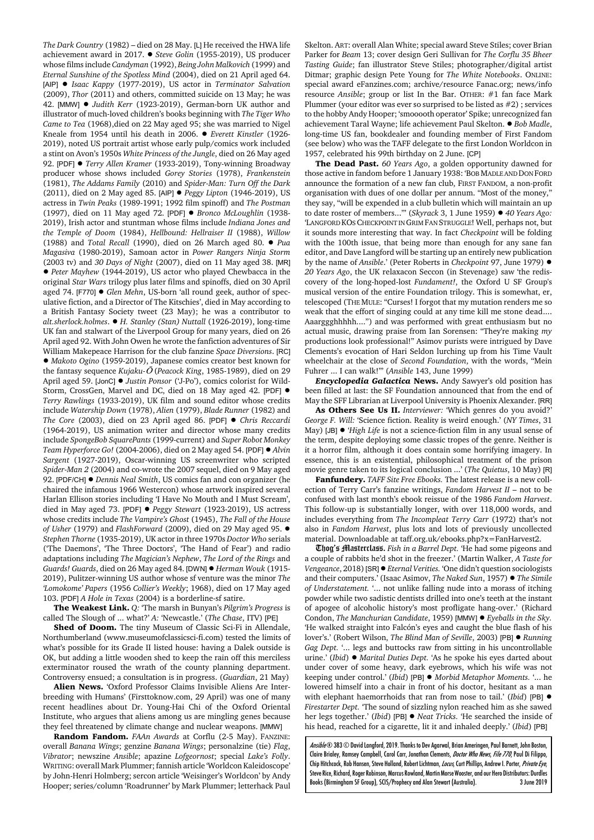*The Dark Country* (1982) – died on 28 May. [L] He received the HWA life achievement award in 2017. ! *Steve Golin* (1955-2019), US producer whose films include *Candyman* (1992), *Being John Malkovich* (1999) and *Eternal Sunshine of the Spotless Mind* (2004), died on 21 April aged 64. [AIP] ! *Isaac Kappy* (1977-2019), US actor in *Terminator Salvation* (2009), *Thor* (2011) and others, committed suicide on 13 May; he was 42. [MMW] ! *Judith Kerr* (1923-2019), German-born UK author and illustrator of much-loved children's books beginning with *The Tiger Who Came to Tea* (1968),died on 22 May aged 95; she was married to Nigel Kneale from 1954 until his death in 2006. ● *Everett Kinstler* (1926-2019), noted US portrait artist whose early pulp/comics work included a stint on Avon's 1950s *White Princess of the Jungle*, died on 26 May aged 92. [PDF]  $\bullet$  *Terry Allen Kramer* (1933-2019), Tony-winning Broadway producer whose shows included *Gorey Stories* (1978), *Frankenstein* (1981), *The Addams Family* (2010) and *Spider-Man: Turn Off the Dark* (2011), died on 2 May aged 85. [AIP] ! *Peggy Lipton* (1946-2019), US actress in *Twin Peaks* (1989-1991; 1992 film spinoff) and *The Postman* (1997), died on 11 May aged 72. [PDF] ! *Bronco McLoughlin* (1938- 2019), Irish actor and stuntman whose films include *Indiana Jones and the Temple of Doom* (1984), *Hellbound: Hellraiser II* (1988), *Willow* (1988) and *Total Recall* (1990), died on 26 March aged 80. ! *Pua Magasiva* (1980-2019), Samoan actor in *Power Rangers Ninja Storm* (2003 tv) and *30 Days of Night* (2007), died on 11 May aged 38. [MR] ! *Peter Mayhew* (1944-2019), US actor who played Chewbacca in the original *Star Wars* trilogy plus later films and spinoffs, died on 30 April aged 74. [F770]  $\bullet$  *Glen Mehn*, US-born 'all round geek, author of speculative fiction, and a Director of The Kitschies', died in May according to a British Fantasy Society tweet (23 May); he was a contributor to *alt.sherlock.holmes*. ! *H. Stanley (Stan) Nuttall* (1926-2019), long-time UK fan and stalwart of the Liverpool Group for many years, died on 26 April aged 92. With John Owen he wrote the fanfiction adventures of Sir William Makepeace Harrison for the club fanzine *Space Diversions*. [RC] ! *Makoto Ogino* (1959-2019), Japanese comics creator best known for the fantasy sequence *Kujaku-*  $\overline{O}$  (*Peacock King*, 1985-1989), died on 29 April aged 59. [JonC] ! *Justin Ponsor* ('J-Po'), comics colorist for Wild-Storm, CrossGen, Marvel and DC, died on 18 May aged 42. [PDF]  $\bullet$ *Terry Rawlings* (1933-2019), UK film and sound editor whose credits include *Watership Down* (1978), *Alien* (1979), *Blade Runner* (1982) and *The Core* (2003), died on 23 April aged 86. [PDF] ! *Chris Reccardi* (1964-2019), US animation writer and director whose many credits include *SpongeBob SquarePants* (1999-current) and *Super Robot Monkey Team Hyperforce Go!* (2004-2006), died on 2 May aged 54. [PDF] ! *Alvin Sargent* (1927-2019), Oscar-winning US screenwriter who scripted *Spider-Man 2* (2004) and co-wrote the 2007 sequel, died on 9 May aged 92. [PDF/CH]  $\bullet$  *Dennis Neal Smith*, US comics fan and con organizer (he chaired the infamous 1966 Westercon) whose artwork inspired several Harlan Ellison stories including 'I Have No Mouth and I Must Scream', died in May aged 73. [PDF] ! *Peggy Stewart* (1923-2019), US actress whose credits include *The Vampire's Ghost* (1945), *The Fall of the House of Usher* (1979) and *FlashForward* (2009), died on 29 May aged 95. ! *Stephen Thorne* (1935-2019), UK actor in three 1970s *Doctor Who* serials ('The Daemons', 'The Three Doctors', 'The Hand of Fear') and radio adaptations including *The Magician's Nephew*, *The Lord of the Rings* and *Guards! Guards*, died on 26 May aged 84. [DWN] ! *Herman Wouk* (1915- 2019), Pulitzer-winning US author whose sf venture was the minor *The 'Lomokome' Papers* (1956 *Collier's Weekly*; 1968), died on 17 May aged 103. [PDF] *A Hole in Texas* (2004) is a borderline-sf satire.

**The Weakest Link.** *Q:* 'The marsh in Bunyan's *Pilgrim's Progress* is called The Slough of ... what?' *A:* 'Newcastle.' (*The Chase*, ITV) [PE]

**Shed of Doom.** The tiny Museum of Classic Sci-Fi in Allendale, Northumberland (www.museumofclassicsci-fi.com) tested the limits of what's possible for its Grade II listed house: having a Dalek outside is OK, but adding a little wooden shed to keep the rain off this merciless exterminator roused the wrath of the county planning department. Controversy ensued; a consultation is in progress. (*Guardian*, 21 May)

**Alien News.** 'Oxford Professor Claims Invisible Aliens Are Interbreeding with Humans' (Firsttoknow.com, 29 April) was one of many recent headlines about Dr. Young-Hai Chi of the Oxford Oriental Institute, who argues that aliens among us are mingling genes because they feel threatened by climate change and nuclear weapons. [MMW]

**Random Fandom.** *FAAn Awards* at Corflu (2-5 May). FANZINE: overall *Banana Wings*; genzine *Banana Wings*; personalzine (tie) *Flag*, *Vibrator*; newszine *Ansible*; apazine *Lofgeornost*; special *Lake's Folly*. WRITING: overall Mark Plummer; fannish article 'Worldcon Kaleidoscope' by John-Henri Holmberg; sercon article 'Weisinger's Worldcon' by Andy Hooper; series/column 'Roadrunner' by Mark Plummer; letterhack Paul Skelton. ART: overall Alan White; special award Steve Stiles; cover Brian Parker for *Beam* 13; cover design Geri Sullivan for *The Corflu 35 Bheer Tasting Guide*; fan illustrator Steve Stiles; photographer/digital artist Ditmar; graphic design Pete Young for *The White Notebooks*. ONLINE: special award eFanzines.com; archive/resource Fanac.org; news/info resource *Ansible*; group or list In the Bar. OTHER: #1 fan face Mark Plummer (your editor was ever so surprised to be listed as #2) ; services to the hobby Andy Hooper; 'smooooth operator' Spike; unrecognized fan achievement Taral Wayne; life achievement Paul Skelton. ! *Bob Madle*, long-time US fan, bookdealer and founding member of First Fandom (see below) who was the TAFF delegate to the first London Worldcon in 1957, celebrated his 99th birthday on 2 June. [CP]

**The Dead Past.** *60 Years Ago*, a golden opportunity dawned for those active in fandom before 1 January 1938: 'BOB MADLE AND DON FORD announce the formation of a new fan club, FIRST FANDOM, a non-profit organisation with dues of one dollar per annum. "Most of the money," they say, "will be expended in a club bulletin which will maintain an up to date roster of members..."' (*Skyrack* 3, 1 June 1959) ! *40 Years Ago:* 'LANGFORD KOS CHECKPOINT IN GRIM FAN STRUGGLE! Well, perhaps not, but it sounds more interesting that way. In fact *Checkpoint* will be folding with the 100th issue, that being more than enough for any sane fan editor, and Dave Langford will be starting up an entirely new publication by the name of *Ansible*.' (Peter Roberts in *Checkpoint* 97, June 1979) ! *20 Years Ago*, the UK relaxacon Seccon (in Stevenage) saw 'the rediscovery of the long-hoped-lost *Fundament!*, the Oxford U SF Group's musical version of the entire Foundation trilogy. This is somewhat, er, telescoped (THE MULE: "Curses! I forgot that my mutation renders me so weak that the effort of singing could at any time kill me stone dead.... Aaarggghhhhh....") and was performed with great enthusiasm but no actual music, drawing praise from Ian Sorensen: "They're making *my* productions look professional!" Asimov purists were intrigued by Dave Clements's evocation of Hari Seldon lurching up from his Time Vault wheelchair at the close of *Second Foundation*, with the words, "Mein Fuhrer ... I can walk!"' (*Ansible* 143, June 1999)

*Encyclopedia Galactica* **News.** Andy Sawyer's old position has been filled at last: the SF Foundation announced that from the end of May the SFF Librarian at Liverpool University is Phoenix Alexander. [RR]

**As Others See Us II.** *Interviewer:* 'Which genres do you avoid?' *George F. Will:* 'Science fiction. Reality is weird enough.' (*NY Times*, 31 May) [JB]  $\bullet$  '*High Life* is not a science-fiction film in any usual sense of the term, despite deploying some classic tropes of the genre. Neither is it a horror film, although it does contain some horrifying imagery. In essence, this is an existential, philosophical treatment of the prison movie genre taken to its logical conclusion ...' (*The Quietus*, 10 May) [R]

**Fanfundery.** *TAFF Site Free Ebooks.* The latest release is a new collection of Terry Carr's fanzine writings, *Fandom Harvest II* – not to be confused with last month's ebook reissue of the 1986 *Fandom Harvest*. This follow-up is substantially longer, with over 118,000 words, and includes everything from *The Incompleat Terry Carr* (1972) that's not also in *Fandom Harvest*, plus lots and lots of previously uncollected material. Downloadable at taff.org.uk/ebooks.php?x=FanHarvest2.

Thog's Masterclass. *Fish in a Barrel Dept.* 'He had some pigeons and a couple of rabbits he'd shot in the freezer.' (Martin Walker, *A Taste for Vengeance*, 2018) [SR]!*Eternal Verities.* 'One didn't question sociologists and their computers.' (Isaac Asimov, *The Naked Sun*, 1957) ! *The Simile of Understatement.* '... not unlike falling nude into a morass of itching powder while two sadistic dentists drilled into one's teeth at the instant of apogee of alcoholic history's most profligate hang-over.' (Richard Condon, *The Manchurian Candidate*, 1959) [MMW] ! *Eyeballs in the Sky.* 'He walked straight into Falcón's eyes and caught the blue flash of his lover's.' (Robert Wilson, *The Blind Man of Seville*, 2003) [PB] ! *Running Gag Dept.* '... legs and buttocks raw from sitting in his uncontrollable urine.' (*Ibid*) ! *Marital Duties Dept.* 'As he spoke his eyes darted about under cover of some heavy, dark eyebrows, which his wife was not keeping under control.' (*Ibid*) [PB] ! *Morbid Metaphor Moments.* '... he lowered himself into a chair in front of his doctor, hesitant as a man with elephant haemorrhoids that ran from nose to tail.' (*Ibid*) [PB]  $\bullet$ *Firestarter Dept.* 'The sound of sizzling nylon reached him as she sawed her legs together.' (*Ibid*) [PB] ! *Neat Tricks.* 'He searched the inside of his head, reached for a cigarette, lit it and inhaled deeply.' (*Ibid*) [PB]

Ansible ® 383 © David Langford, 2019. Thanks to Dev Agarwal, Brian Ameringen, Paul Barnett, John Boston, Claire Brialey, Ramsey Campbell, Carol Carr, Jonathan Clements, *Doctor Who News, File 770*, Paul Di Filippo, Chip Hitchcock, Rob Hansen, Steve Holland, Robert Lichtman, Locus, Curt Phillips, Andrew I. Porter, Private Eye Steve Rice, Richard, Roger Robinson, Marcus Rowland, Martin Morse Wooster, and our Hero Distributors: Durdles Books (Birmingham SF Group), SCIS/Prophecy and Alan Stewart (Australia). 3 June 2019